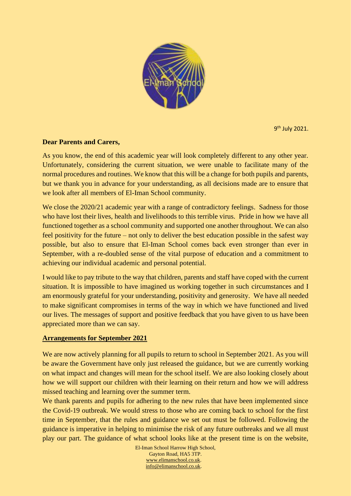

9 th July 2021.

## **Dear Parents and Carers,**

As you know, the end of this academic year will look completely different to any other year. Unfortunately, considering the current situation, we were unable to facilitate many of the normal procedures and routines. We know that this will be a change for both pupils and parents, but we thank you in advance for your understanding, as all decisions made are to ensure that we look after all members of El-Iman School community.

We close the 2020/21 academic year with a range of contradictory feelings. Sadness for those who have lost their lives, health and livelihoods to this terrible virus. Pride in how we have all functioned together as a school community and supported one another throughout. We can also feel positivity for the future – not only to deliver the best education possible in the safest way possible, but also to ensure that El-Iman School comes back even stronger than ever in September, with a re-doubled sense of the vital purpose of education and a commitment to achieving our individual academic and personal potential.

I would like to pay tribute to the way that children, parents and staff have coped with the current situation. It is impossible to have imagined us working together in such circumstances and I am enormously grateful for your understanding, positivity and generosity. We have all needed to make significant compromises in terms of the way in which we have functioned and lived our lives. The messages of support and positive feedback that you have given to us have been appreciated more than we can say.

## **Arrangements for September 2021**

We are now actively planning for all pupils to return to school in September 2021. As you will be aware the Government have only just released the guidance, but we are currently working on what impact and changes will mean for the school itself. We are also looking closely about how we will support our children with their learning on their return and how we will address missed teaching and learning over the summer term.

We thank parents and pupils for adhering to the new rules that have been implemented since the Covid-19 outbreak. We would stress to those who are coming back to school for the first time in September, that the rules and guidance we set out must be followed. Following the guidance is imperative in helping to minimise the risk of any future outbreaks and we all must play our part. The guidance of what school looks like at the present time is on the website,

> El-Iman School Harrow High School, Gayton Road, HA5 3TP. [www.elimanschool.co.uk.](http://www.elimanschool.co.uk/) [info@elimanschool.co.uk.](mailto:info@elimanschool.co.uk)